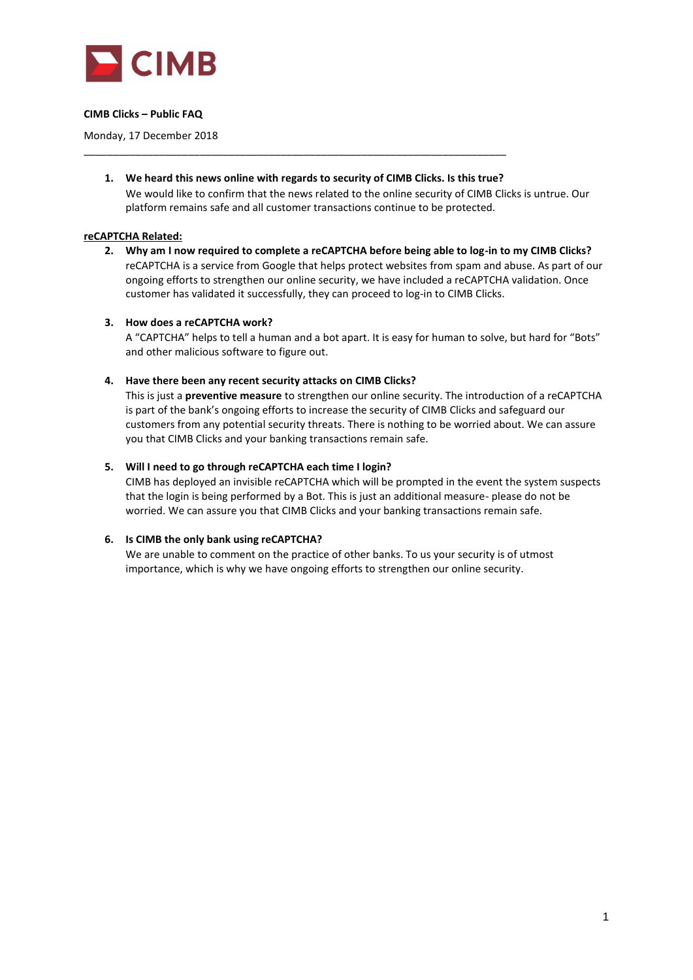

## **CIMB Clicks – Public FAQ**

Monday, 17 December 2018

**1. We heard this news online with regards to security of CIMB Clicks. Is this true?** We would like to confirm that the news related to the online security of CIMB Clicks is untrue. Our platform remains safe and all customer transactions continue to be protected.

\_\_\_\_\_\_\_\_\_\_\_\_\_\_\_\_\_\_\_\_\_\_\_\_\_\_\_\_\_\_\_\_\_\_\_\_\_\_\_\_\_\_\_\_\_\_\_\_\_\_\_\_\_\_\_\_\_\_\_\_\_\_\_\_\_\_\_\_\_\_\_\_\_

### **reCAPTCHA Related:**

**2. Why am I now required to complete a reCAPTCHA before being able to log-in to my CIMB Clicks?**  reCAPTCHA is a service from Google that helps protect websites from spam and abuse. As part of our ongoing efforts to strengthen our online security, we have included a reCAPTCHA validation. Once customer has validated it successfully, they can proceed to log-in to CIMB Clicks.

### **3. How does a reCAPTCHA work?**

A "CAPTCHA" helps to tell a human and a bot apart. It is easy for human to solve, but hard for "Bots" and other malicious software to figure out.

### **4. Have there been any recent security attacks on CIMB Clicks?**

This is just a **preventive measure** to strengthen our online security. The introduction of a reCAPTCHA is part of the bank's ongoing efforts to increase the security of CIMB Clicks and safeguard our customers from any potential security threats. There is nothing to be worried about. We can assure you that CIMB Clicks and your banking transactions remain safe.

## **5. Will I need to go through reCAPTCHA each time I login?**

CIMB has deployed an invisible reCAPTCHA which will be prompted in the event the system suspects that the login is being performed by a Bot. This is just an additional measure- please do not be worried. We can assure you that CIMB Clicks and your banking transactions remain safe.

## **6. Is CIMB the only bank using reCAPTCHA?**

We are unable to comment on the practice of other banks. To us your security is of utmost importance, which is why we have ongoing efforts to strengthen our online security.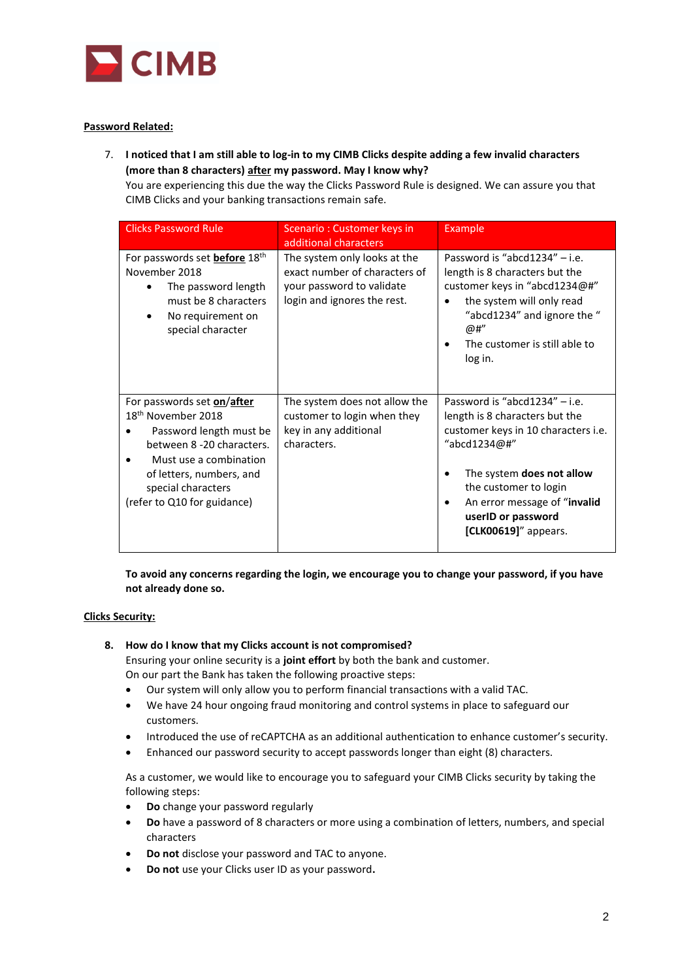

# **Password Related:**

7. **I noticed that I am still able to log-in to my CIMB Clicks despite adding a few invalid characters (more than 8 characters) after my password. May I know why?**

You are experiencing this due the way the Clicks Password Rule is designed. We can assure you that CIMB Clicks and your banking transactions remain safe.

| <b>Clicks Password Rule</b>                                                                                                                                                                                                     | Scenario: Customer keys in<br>additional characters                                                                       | Example                                                                                                                                                                                                                                                             |
|---------------------------------------------------------------------------------------------------------------------------------------------------------------------------------------------------------------------------------|---------------------------------------------------------------------------------------------------------------------------|---------------------------------------------------------------------------------------------------------------------------------------------------------------------------------------------------------------------------------------------------------------------|
| For passwords set before 18 <sup>th</sup><br>November 2018<br>The password length<br>must be 8 characters<br>No requirement on<br>special character                                                                             | The system only looks at the<br>exact number of characters of<br>your password to validate<br>login and ignores the rest. | Password is "abcd1234" $-$ i.e.<br>length is 8 characters but the<br>customer keys in "abcd1234@#"<br>the system will only read<br>$\bullet$<br>"abcd1234" and ignore the "<br>@#"<br>The customer is still able to<br>log in.                                      |
| For passwords set on/after<br>18 <sup>th</sup> November 2018<br>Password length must be<br>between 8 -20 characters.<br>Must use a combination<br>of letters, numbers, and<br>special characters<br>(refer to Q10 for guidance) | The system does not allow the<br>customer to login when they<br>key in any additional<br>characters.                      | Password is "abcd1234" $-$ i.e.<br>length is 8 characters but the<br>customer keys in 10 characters i.e.<br>"abcd1234@#"<br>The system <b>does not allow</b><br>the customer to login<br>An error message of "invalid<br>userID or password<br>[CLK00619]" appears. |

**To avoid any concerns regarding the login, we encourage you to change your password, if you have not already done so.** 

## **Clicks Security:**

**8. How do I know that my Clicks account is not compromised?** 

Ensuring your online security is a **joint effort** by both the bank and customer. On our part the Bank has taken the following proactive steps:

- Our system will only allow you to perform financial transactions with a valid TAC.
- We have 24 hour ongoing fraud monitoring and control systems in place to safeguard our customers.
- Introduced the use of reCAPTCHA as an additional authentication to enhance customer's security.
- Enhanced our password security to accept passwords longer than eight (8) characters.

As a customer, we would like to encourage you to safeguard your CIMB Clicks security by taking the following steps:

- **Do** change your password regularly
- **Do** have a password of 8 characters or more using a combination of letters, numbers, and special characters
- **Do not** disclose your password and TAC to anyone.
- **Do not** use your Clicks user ID as your password**.**